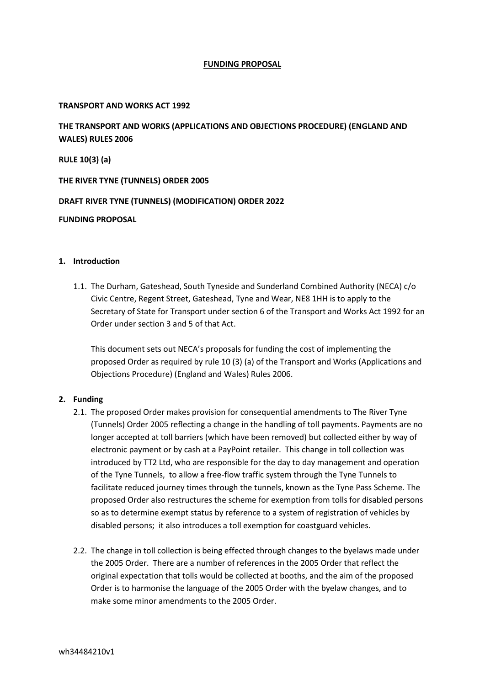# **FUNDING PROPOSAL**

## **TRANSPORT AND WORKS ACT 1992**

**THE TRANSPORT AND WORKS (APPLICATIONS AND OBJECTIONS PROCEDURE) (ENGLAND AND WALES) RULES 2006**

**RULE 10(3) (a)**

**THE RIVER TYNE (TUNNELS) ORDER 2005**

**DRAFT RIVER TYNE (TUNNELS) (MODIFICATION) ORDER 2022**

#### **FUNDING PROPOSAL**

### **1. Introduction**

1.1. The Durham, Gateshead, South Tyneside and Sunderland Combined Authority (NECA) c/o Civic Centre, Regent Street, Gateshead, Tyne and Wear, NE8 1HH is to apply to the Secretary of State for Transport under section 6 of the Transport and Works Act 1992 for an Order under section 3 and 5 of that Act.

This document sets out NECA's proposals for funding the cost of implementing the proposed Order as required by rule 10 (3) (a) of the Transport and Works (Applications and Objections Procedure) (England and Wales) Rules 2006.

# **2. Funding**

- 2.1. The proposed Order makes provision for consequential amendments to The River Tyne (Tunnels) Order 2005 reflecting a change in the handling of toll payments. Payments are no longer accepted at toll barriers (which have been removed) but collected either by way of electronic payment or by cash at a PayPoint retailer. This change in toll collection was introduced by TT2 Ltd, who are responsible for the day to day management and operation of the Tyne Tunnels, to allow a free-flow traffic system through the Tyne Tunnels to facilitate reduced journey times through the tunnels, known as the Tyne Pass Scheme. The proposed Order also restructures the scheme for exemption from tolls for disabled persons so as to determine exempt status by reference to a system of registration of vehicles by disabled persons; it also introduces a toll exemption for coastguard vehicles.
- 2.2. The change in toll collection is being effected through changes to the byelaws made under the 2005 Order. There are a number of references in the 2005 Order that reflect the original expectation that tolls would be collected at booths, and the aim of the proposed Order is to harmonise the language of the 2005 Order with the byelaw changes, and to make some minor amendments to the 2005 Order.